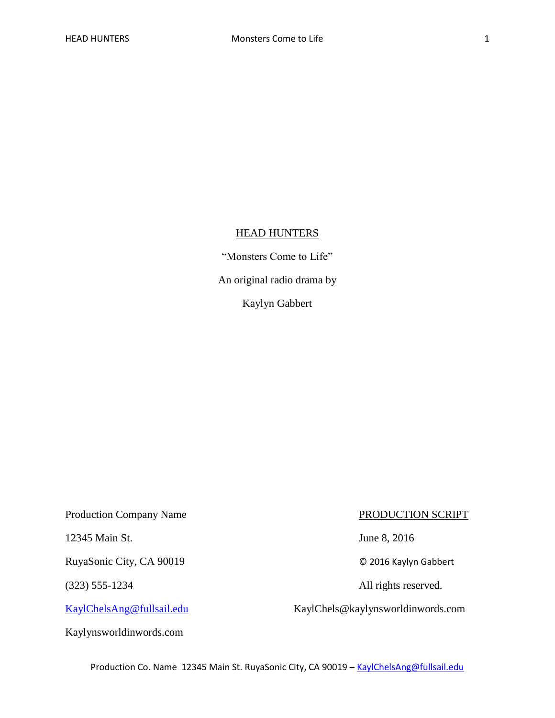## **HEAD HUNTERS**

"Monsters Come to Life"

An original radio drama by

Kaylyn Gabbert

Production Company Name PRODUCTION SCRIPT

12345 Main St. June 8, 2016

RuyaSonic City, CA 90019 © 2016 Kaylyn Gabbert

Kaylynsworldinwords.com

(323) 555-1234 All rights reserved.

[KaylChelsAng@fullsail.edu](mailto:KaylChelsAng@fullsail.edu) KaylChels@kaylynsworldinwords.com

Production Co. Name 12345 Main St. RuyaSonic City, CA 90019 - [KaylChelsAng@fullsail.edu](mailto:KaylChelsAng@fullsail.edu)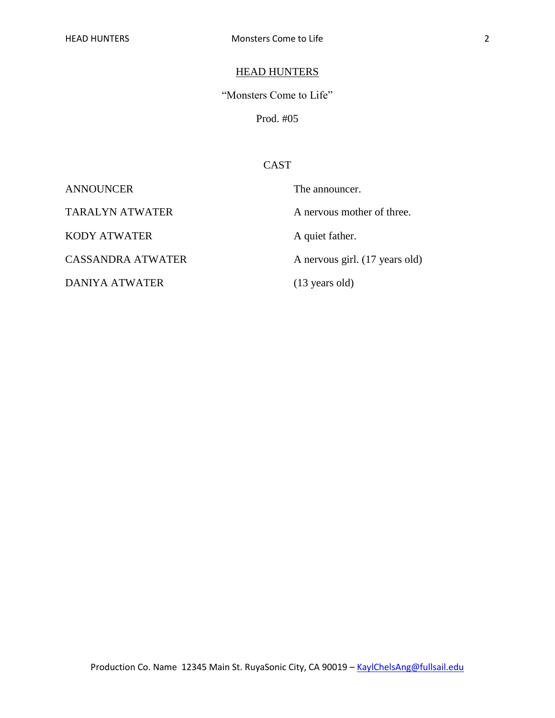## **HEAD HUNTERS**

"Monsters Come to Life"

Prod. #05

## CAST

KODY ATWATER A quiet father.

DANIYA ATWATER (13 years old)

ANNOUNCER The announcer. TARALYN ATWATER A nervous mother of three. CASSANDRA ATWATER A nervous girl. (17 years old)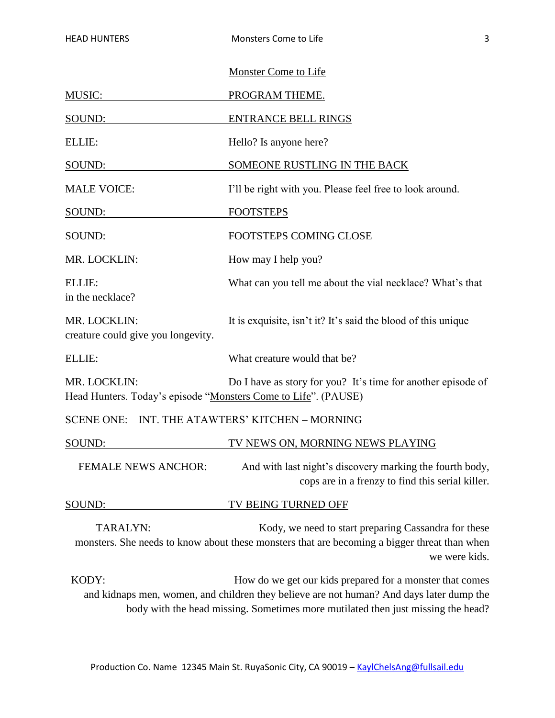|                                                                                | <b>Monster Come to Life</b>                                                                                                                                                                                                              |  |
|--------------------------------------------------------------------------------|------------------------------------------------------------------------------------------------------------------------------------------------------------------------------------------------------------------------------------------|--|
| <b>MUSIC:</b>                                                                  | PROGRAM THEME.                                                                                                                                                                                                                           |  |
| SOUND:                                                                         | <b>ENTRANCE BELL RINGS</b>                                                                                                                                                                                                               |  |
| ELLIE:                                                                         | Hello? Is anyone here?                                                                                                                                                                                                                   |  |
| SOUND:                                                                         | SOMEONE RUSTLING IN THE BACK                                                                                                                                                                                                             |  |
| <b>MALE VOICE:</b>                                                             | I'll be right with you. Please feel free to look around.                                                                                                                                                                                 |  |
| SOUND:                                                                         | <b>FOOTSTEPS</b>                                                                                                                                                                                                                         |  |
| SOUND:                                                                         | FOOTSTEPS COMING CLOSE                                                                                                                                                                                                                   |  |
| MR. LOCKLIN:                                                                   | How may I help you?                                                                                                                                                                                                                      |  |
| ELLIE:<br>in the necklace?                                                     | What can you tell me about the vial necklace? What's that                                                                                                                                                                                |  |
| MR. LOCKLIN:<br>creature could give you longevity.                             | It is exquisite, isn't it? It's said the blood of this unique                                                                                                                                                                            |  |
| ELLIE:                                                                         | What creature would that be?                                                                                                                                                                                                             |  |
| MR. LOCKLIN:<br>Head Hunters. Today's episode "Monsters Come to Life". (PAUSE) | Do I have as story for you? It's time for another episode of                                                                                                                                                                             |  |
| SCENE ONE: INT. THE ATAWTERS' KITCHEN - MORNING                                |                                                                                                                                                                                                                                          |  |
| SOUND:                                                                         | TV NEWS ON, MORNING NEWS PLAYING                                                                                                                                                                                                         |  |
| <b>FEMALE NEWS ANCHOR:</b>                                                     | And with last night's discovery marking the fourth body,<br>cops are in a frenzy to find this serial killer.                                                                                                                             |  |
| SOUND:                                                                         | TV BEING TURNED OFF                                                                                                                                                                                                                      |  |
| TARALYN:                                                                       | Kody, we need to start preparing Cassandra for these<br>monsters. She needs to know about these monsters that are becoming a bigger threat than when<br>we were kids.                                                                    |  |
| KODY:                                                                          | How do we get our kids prepared for a monster that comes<br>and kidnaps men, women, and children they believe are not human? And days later dump the<br>body with the head missing. Sometimes more mutilated then just missing the head? |  |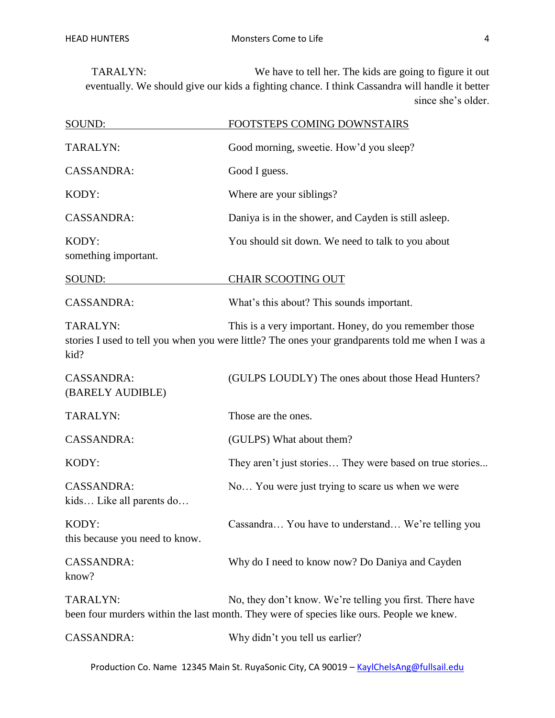TARALYN: We have to tell her. The kids are going to figure it out eventually. We should give our kids a fighting chance. I think Cassandra will handle it better since she's older.

| SOUND:                                        | FOOTSTEPS COMING DOWNSTAIRS                                                                                                                                |
|-----------------------------------------------|------------------------------------------------------------------------------------------------------------------------------------------------------------|
| TARALYN:                                      | Good morning, sweetie. How'd you sleep?                                                                                                                    |
| <b>CASSANDRA:</b>                             | Good I guess.                                                                                                                                              |
| KODY:                                         | Where are your siblings?                                                                                                                                   |
| <b>CASSANDRA:</b>                             | Daniya is in the shower, and Cayden is still as leep.                                                                                                      |
| KODY:<br>something important.                 | You should sit down. We need to talk to you about                                                                                                          |
| SOUND:                                        | <b>CHAIR SCOOTING OUT</b>                                                                                                                                  |
| <b>CASSANDRA:</b>                             | What's this about? This sounds important.                                                                                                                  |
| TARALYN:<br>kid?                              | This is a very important. Honey, do you remember those<br>stories I used to tell you when you were little? The ones your grandparents told me when I was a |
| <b>CASSANDRA:</b><br>(BARELY AUDIBLE)         | (GULPS LOUDLY) The ones about those Head Hunters?                                                                                                          |
| TARALYN:                                      | Those are the ones.                                                                                                                                        |
| <b>CASSANDRA:</b>                             | (GULPS) What about them?                                                                                                                                   |
| KODY:                                         | They aren't just stories They were based on true stories                                                                                                   |
| <b>CASSANDRA:</b><br>kids Like all parents do | No You were just trying to scare us when we were                                                                                                           |
| KODY:<br>this because you need to know.       | Cassandra You have to understand We're telling you                                                                                                         |
| <b>CASSANDRA:</b><br>know?                    | Why do I need to know now? Do Daniya and Cayden                                                                                                            |
| TARALYN:                                      | No, they don't know. We're telling you first. There have<br>been four murders within the last month. They were of species like ours. People we knew.       |
| <b>CASSANDRA:</b>                             | Why didn't you tell us earlier?                                                                                                                            |

Production Co. Name 12345 Main St. RuyaSonic City, CA 90019 - [KaylChelsAng@fullsail.edu](mailto:KaylChelsAng@fullsail.edu)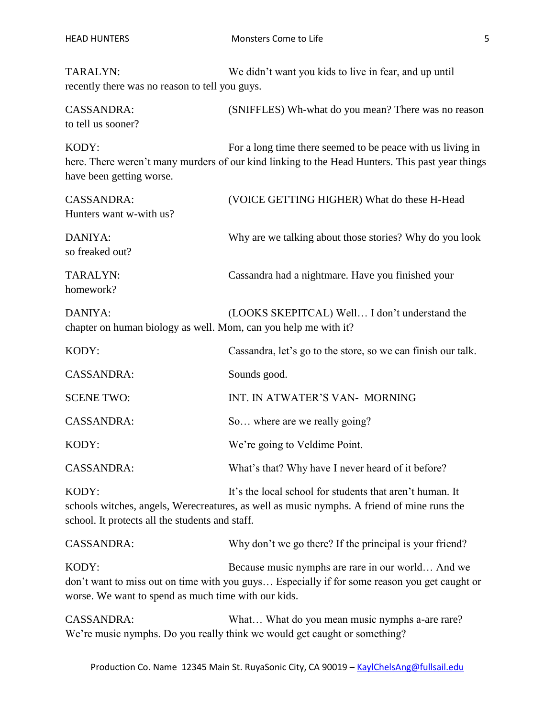TARALYN: We didn't want you kids to live in fear, and up until recently there was no reason to tell you guys.

CASSANDRA: (SNIFFLES) Wh-what do you mean? There was no reason to tell us sooner?

KODY: For a long time there seemed to be peace with us living in here. There weren't many murders of our kind linking to the Head Hunters. This past year things have been getting worse.

| <b>CASSANDRA:</b>                                                          | (VOICE GETTING HIGHER) What do these H-Head                                                                                                          |
|----------------------------------------------------------------------------|------------------------------------------------------------------------------------------------------------------------------------------------------|
| Hunters want w-with us?                                                    |                                                                                                                                                      |
| DANIYA:<br>so freaked out?                                                 | Why are we talking about those stories? Why do you look                                                                                              |
| TARALYN:<br>homework?                                                      | Cassandra had a nightmare. Have you finished your                                                                                                    |
| DANIYA:<br>chapter on human biology as well. Mom, can you help me with it? | (LOOKS SKEPITCAL) Well I don't understand the                                                                                                        |
| KODY:                                                                      | Cassandra, let's go to the store, so we can finish our talk.                                                                                         |
| <b>CASSANDRA:</b>                                                          | Sounds good.                                                                                                                                         |
| <b>SCENE TWO:</b>                                                          | INT. IN ATWATER'S VAN- MORNING                                                                                                                       |
| <b>CASSANDRA:</b>                                                          | So where are we really going?                                                                                                                        |
| KODY:                                                                      | We're going to Veldime Point.                                                                                                                        |
| <b>CASSANDRA:</b>                                                          | What's that? Why have I never heard of it before?                                                                                                    |
| KODY:                                                                      | It's the local school for students that aren't human. It<br>schools witches angels. Werecreatures as well as music nymphs. A friend of mine runs the |

schools witches, angels, Werecreatures, as well as music nymphs. A friend of mine runs the school. It protects all the students and staff.

CASSANDRA: Why don't we go there? If the principal is your friend? KODY: Because music nymphs are rare in our world... And we don't want to miss out on time with you guys… Especially if for some reason you get caught or worse. We want to spend as much time with our kids.

CASSANDRA: What... What do you mean music nymphs a-are rare? We're music nymphs. Do you really think we would get caught or something?

Production Co. Name 12345 Main St. RuyaSonic City, CA 90019 - [KaylChelsAng@fullsail.edu](mailto:KaylChelsAng@fullsail.edu)